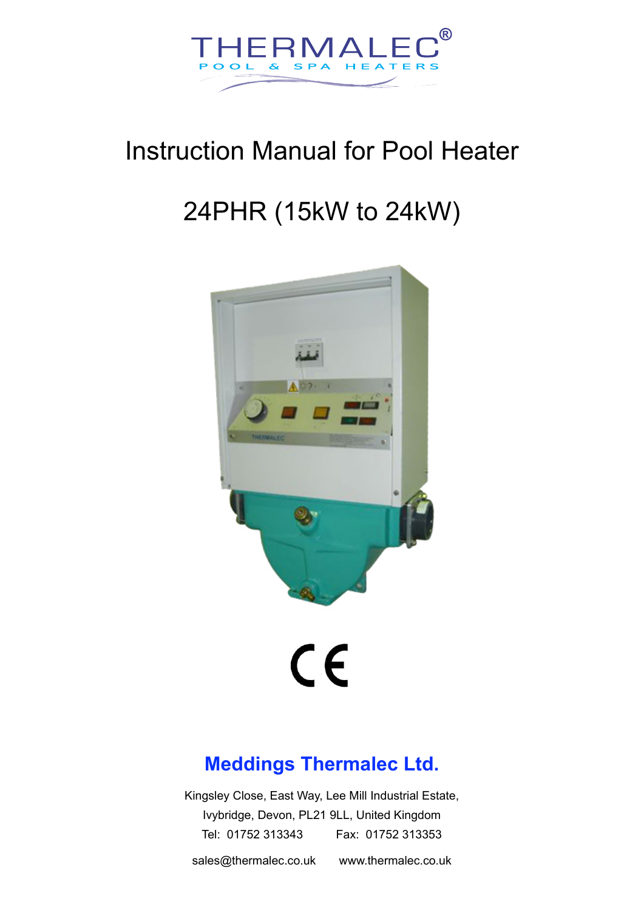

## Instruction Manual for Pool Heater

## 24PHR (15kW to 24kW)



# $c\epsilon$

### **Meddings Thermalec Ltd.**

Kingsley Close, East Way, Lee Mill Industrial Estate, Ivybridge, Devon, PL21 9LL, United Kingdom Tel: 01752 313343 Fax: 01752 313353

[sales@thermalec.co.uk](mailto:sales@thermalec.co.uk) www.thermalec.co.uk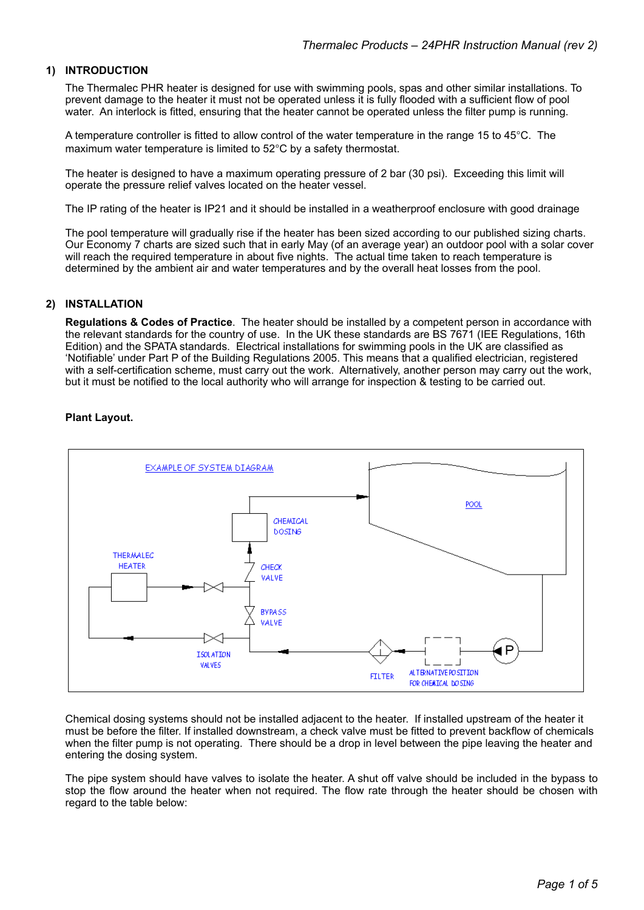#### **1) INTRODUCTION**

The Thermalec PHR heater is designed for use with swimming pools, spas and other similar installations. To prevent damage to the heater it must not be operated unless it is fully flooded with a sufficient flow of pool water. An interlock is fitted, ensuring that the heater cannot be operated unless the filter pump is running.

A temperature controller is fitted to allow control of the water temperature in the range 15 to 45°C. The maximum water temperature is limited to 52°C by a safety thermostat.

The heater is designed to have a maximum operating pressure of 2 bar (30 psi). Exceeding this limit will operate the pressure relief valves located on the heater vessel.

The IP rating of the heater is IP21 and it should be installed in a weatherproof enclosure with good drainage

The pool temperature will gradually rise if the heater has been sized according to our published sizing charts. Our Economy 7 charts are sized such that in early May (of an average year) an outdoor pool with a solar cover will reach the required temperature in about five nights. The actual time taken to reach temperature is determined by the ambient air and water temperatures and by the overall heat losses from the pool.

#### **2) INSTALLATION**

**Regulations & Codes of Practice**. The heater should be installed by a competent person in accordance with the relevant standards for the country of use. In the UK these standards are BS 7671 (IEE Regulations, 16th Edition) and the SPATA standards. Electrical installations for swimming pools in the UK are classified as 'Notifiable' under Part P of the Building Regulations 2005. This means that a qualified electrician, registered with a self-certification scheme, must carry out the work. Alternatively, another person may carry out the work, but it must be notified to the local authority who will arrange for inspection & testing to be carried out.

#### **Plant Layout.**



Chemical dosing systems should not be installed adjacent to the heater. If installed upstream of the heater it must be before the filter. If installed downstream, a check valve must be fitted to prevent backflow of chemicals when the filter pump is not operating. There should be a drop in level between the pipe leaving the heater and entering the dosing system.

The pipe system should have valves to isolate the heater. A shut off valve should be included in the bypass to stop the flow around the heater when not required. The flow rate through the heater should be chosen with regard to the table below: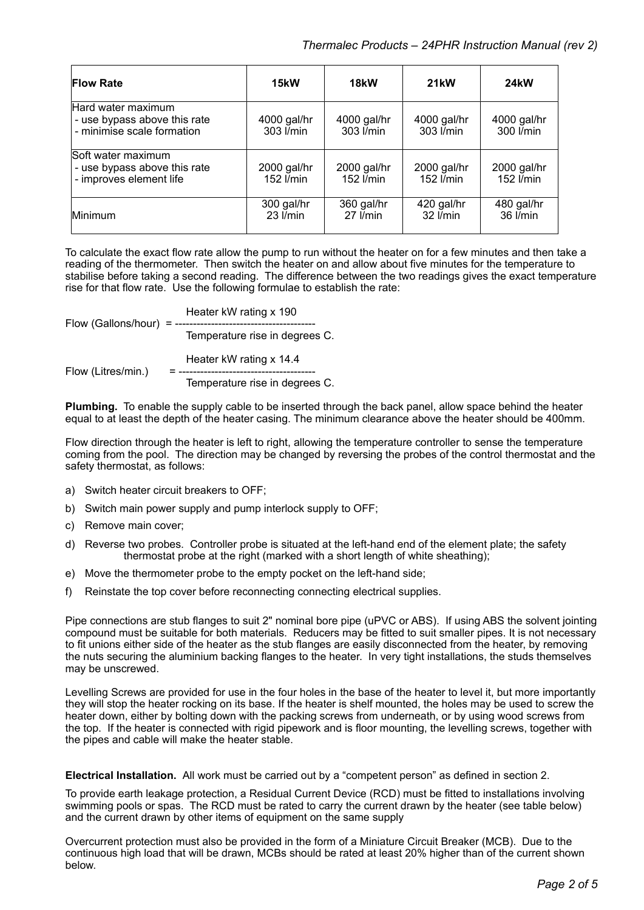| <b>Flow Rate</b>                                                                 | 15kW                       | 18 <sub>k</sub> W          | <b>21kW</b>              | <b>24kW</b>              |
|----------------------------------------------------------------------------------|----------------------------|----------------------------|--------------------------|--------------------------|
| Hard water maximum<br>- use bypass above this rate<br>- minimise scale formation | 4000 gal/hr<br>303 l/min   | 4000 gal/hr<br>303 l/min   | 4000 gal/hr<br>303 l/min | 4000 gal/hr<br>300 l/min |
| Soft water maximum<br>- use bypass above this rate<br>- improves element life    | 2000 gal/hr<br>152 l/min   | 2000 gal/hr<br>152 l/min   | 2000 gal/hr<br>152 l/min | 2000 gal/hr<br>152 l/min |
| <b>Minimum</b>                                                                   | 300 gal/hr<br>$23$ $l/min$ | 360 gal/hr<br>$27$ $l/min$ | 420 gal/hr<br>32 l/min   | 480 gal/hr<br>36 l/min   |

 To calculate the exact flow rate allow the pump to run without the heater on for a few minutes and then take a reading of the thermometer. Then switch the heater on and allow about five minutes for the temperature to stabilise before taking a second reading. The difference between the two readings gives the exact temperature rise for that flow rate. Use the following formulae to establish the rate:

Heater kW rating x 190 Flow (Gallons/hour)  $= -$  Temperature rise in degrees C. Heater kW rating x 14.4 Flow (Litres/min.) = ---------------Temperature rise in degrees C.

**Plumbing.** To enable the supply cable to be inserted through the back panel, allow space behind the heater equal to at least the depth of the heater casing. The minimum clearance above the heater should be 400mm.

Flow direction through the heater is left to right, allowing the temperature controller to sense the temperature coming from the pool. The direction may be changed by reversing the probes of the control thermostat and the safety thermostat, as follows:

- a) Switch heater circuit breakers to OFF;
- b) Switch main power supply and pump interlock supply to OFF;
- c) Remove main cover;
- d) Reverse two probes. Controller probe is situated at the left-hand end of the element plate; the safety thermostat probe at the right (marked with a short length of white sheathing);
- e) Move the thermometer probe to the empty pocket on the left-hand side;
- f) Reinstate the top cover before reconnecting connecting electrical supplies.

Pipe connections are stub flanges to suit 2" nominal bore pipe (uPVC or ABS). If using ABS the solvent jointing compound must be suitable for both materials. Reducers may be fitted to suit smaller pipes. It is not necessary to fit unions either side of the heater as the stub flanges are easily disconnected from the heater, by removing the nuts securing the aluminium backing flanges to the heater. In very tight installations, the studs themselves may be unscrewed.

Levelling Screws are provided for use in the four holes in the base of the heater to level it, but more importantly they will stop the heater rocking on its base. If the heater is shelf mounted, the holes may be used to screw the heater down, either by bolting down with the packing screws from underneath, or by using wood screws from the top. If the heater is connected with rigid pipework and is floor mounting, the levelling screws, together with the pipes and cable will make the heater stable.

**Electrical Installation.** All work must be carried out by a "competent person" as defined in section 2.

To provide earth leakage protection, a Residual Current Device (RCD) must be fitted to installations involving swimming pools or spas. The RCD must be rated to carry the current drawn by the heater (see table below) and the current drawn by other items of equipment on the same supply

Overcurrent protection must also be provided in the form of a Miniature Circuit Breaker (MCB). Due to the continuous high load that will be drawn, MCBs should be rated at least 20% higher than of the current shown below.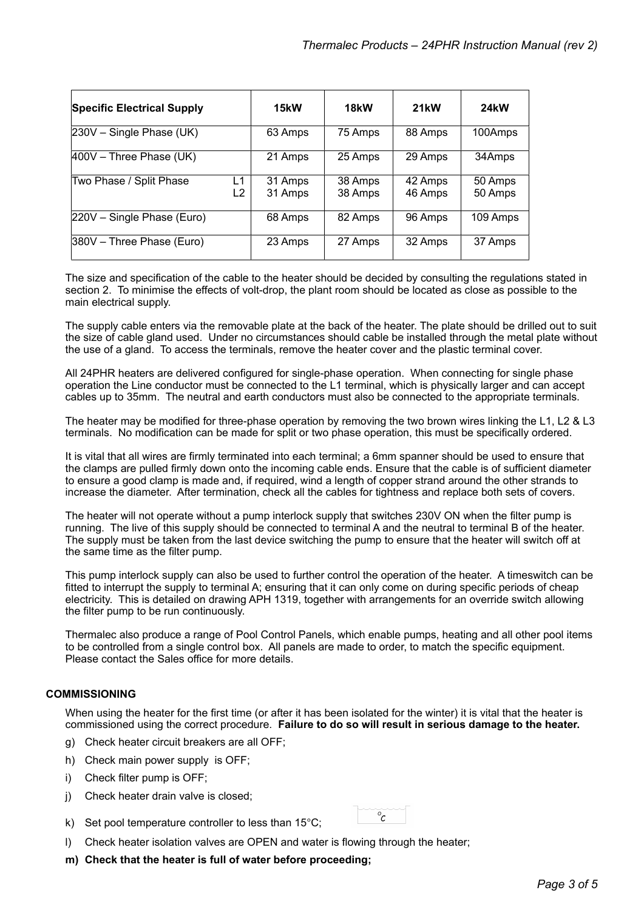| <b>Specific Electrical Supply</b> |          | 15kW               | 18 <sub>k</sub> W  | <b>21kW</b>        | <b>24kW</b>        |
|-----------------------------------|----------|--------------------|--------------------|--------------------|--------------------|
| $230V$ – Single Phase (UK)        |          | 63 Amps            | 75 Amps            | 88 Amps            | 100Amps            |
| $400V$ – Three Phase (UK)         |          | 21 Amps            | 25 Amps            | 29 Amps            | 34Amps             |
| Two Phase / Split Phase           | L1<br>L2 | 31 Amps<br>31 Amps | 38 Amps<br>38 Amps | 42 Amps<br>46 Amps | 50 Amps<br>50 Amps |
| 220V - Single Phase (Euro)        |          | 68 Amps            | 82 Amps            | 96 Amps            | 109 Amps           |
| 380V - Three Phase (Euro)         |          | 23 Amps            | 27 Amps            | 32 Amps            | 37 Amps            |

The size and specification of the cable to the heater should be decided by consulting the regulations stated in section 2. To minimise the effects of volt-drop, the plant room should be located as close as possible to the main electrical supply.

The supply cable enters via the removable plate at the back of the heater. The plate should be drilled out to suit the size of cable gland used. Under no circumstances should cable be installed through the metal plate without the use of a gland. To access the terminals, remove the heater cover and the plastic terminal cover.

All 24PHR heaters are delivered configured for single-phase operation. When connecting for single phase operation the Line conductor must be connected to the L1 terminal, which is physically larger and can accept cables up to 35mm. The neutral and earth conductors must also be connected to the appropriate terminals.

The heater may be modified for three-phase operation by removing the two brown wires linking the L1, L2 & L3 terminals. No modification can be made for split or two phase operation, this must be specifically ordered.

It is vital that all wires are firmly terminated into each terminal; a 6mm spanner should be used to ensure that the clamps are pulled firmly down onto the incoming cable ends. Ensure that the cable is of sufficient diameter to ensure a good clamp is made and, if required, wind a length of copper strand around the other strands to increase the diameter. After termination, check all the cables for tightness and replace both sets of covers.

The heater will not operate without a pump interlock supply that switches 230V ON when the filter pump is running. The live of this supply should be connected to terminal A and the neutral to terminal B of the heater. The supply must be taken from the last device switching the pump to ensure that the heater will switch off at the same time as the filter pump.

This pump interlock supply can also be used to further control the operation of the heater. A timeswitch can be fitted to interrupt the supply to terminal A; ensuring that it can only come on during specific periods of cheap electricity. This is detailed on drawing APH 1319, together with arrangements for an override switch allowing the filter pump to be run continuously.

Thermalec also produce a range of Pool Control Panels, which enable pumps, heating and all other pool items to be controlled from a single control box. All panels are made to order, to match the specific equipment. Please contact the Sales office for more details.

#### **COMMISSIONING**

When using the heater for the first time (or after it has been isolated for the winter) it is vital that the heater is commissioned using the correct procedure. **Failure to do so will result in serious damage to the heater.**

 $\overline{\circ_c}$ 

- g) Check heater circuit breakers are all OFF;
- h) Check main power supply is OFF;
- i) Check filter pump is OFF;
- j) Check heater drain valve is closed;
- k) Set pool temperature controller to less than 15°C;
- l) Check heater isolation valves are OPEN and water is flowing through the heater;
- **m) Check that the heater is full of water before proceeding;**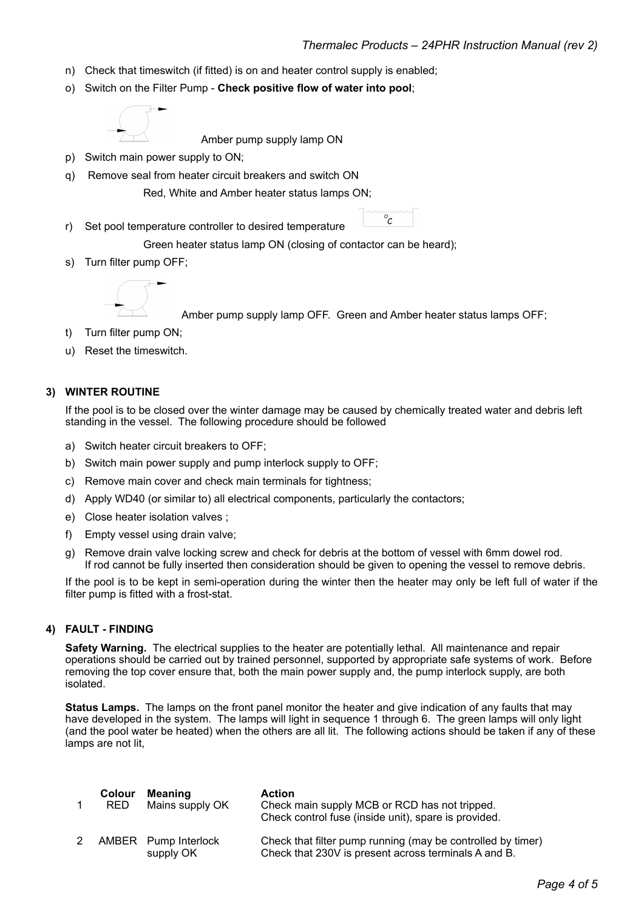- n) Check that timeswitch (if fitted) is on and heater control supply is enabled;
- o) Switch on the Filter Pump **Check positive flow of water into pool**;



Amber pump supply lamp ON

- p) Switch main power supply to ON;
- q) Remove seal from heater circuit breakers and switch ON

Red, White and Amber heater status lamps ON;

r) Set pool temperature controller to desired temperature

Green heater status lamp ON (closing of contactor can be heard);

s) Turn filter pump OFF;



Amber pump supply lamp OFF. Green and Amber heater status lamps OFF;

 $\sigma_c$ 

- t) Turn filter pump ON;
- u) Reset the timeswitch.

#### **3) WINTER ROUTINE**

If the pool is to be closed over the winter damage may be caused by chemically treated water and debris left standing in the vessel. The following procedure should be followed

- a) Switch heater circuit breakers to OFF;
- b) Switch main power supply and pump interlock supply to OFF;
- c) Remove main cover and check main terminals for tightness;
- d) Apply WD40 (or similar to) all electrical components, particularly the contactors;
- e) Close heater isolation valves ;
- f) Empty vessel using drain valve;
- g) Remove drain valve locking screw and check for debris at the bottom of vessel with 6mm dowel rod. If rod cannot be fully inserted then consideration should be given to opening the vessel to remove debris.

If the pool is to be kept in semi-operation during the winter then the heater may only be left full of water if the filter pump is fitted with a frost-stat.

#### **4) FAULT - FINDING**

**Safety Warning.** The electrical supplies to the heater are potentially lethal. All maintenance and repair operations should be carried out by trained personnel, supported by appropriate safe systems of work. Before removing the top cover ensure that, both the main power supply and, the pump interlock supply, are both isolated.

**Status Lamps.** The lamps on the front panel monitor the heater and give indication of any faults that may have developed in the system. The lamps will light in sequence 1 through 6. The green lamps will only light (and the pool water be heated) when the others are all lit. The following actions should be taken if any of these lamps are not lit,

| Colour<br>RED. | <b>Meaning</b><br>Mains supply OK | <b>Action</b><br>Check main supply MCB or RCD has not tripped.<br>Check control fuse (inside unit), spare is provided. |
|----------------|-----------------------------------|------------------------------------------------------------------------------------------------------------------------|
|                | AMBER Pump Interlock<br>supply OK | Check that filter pump running (may be controlled by timer)<br>Check that 230V is present across terminals A and B.    |